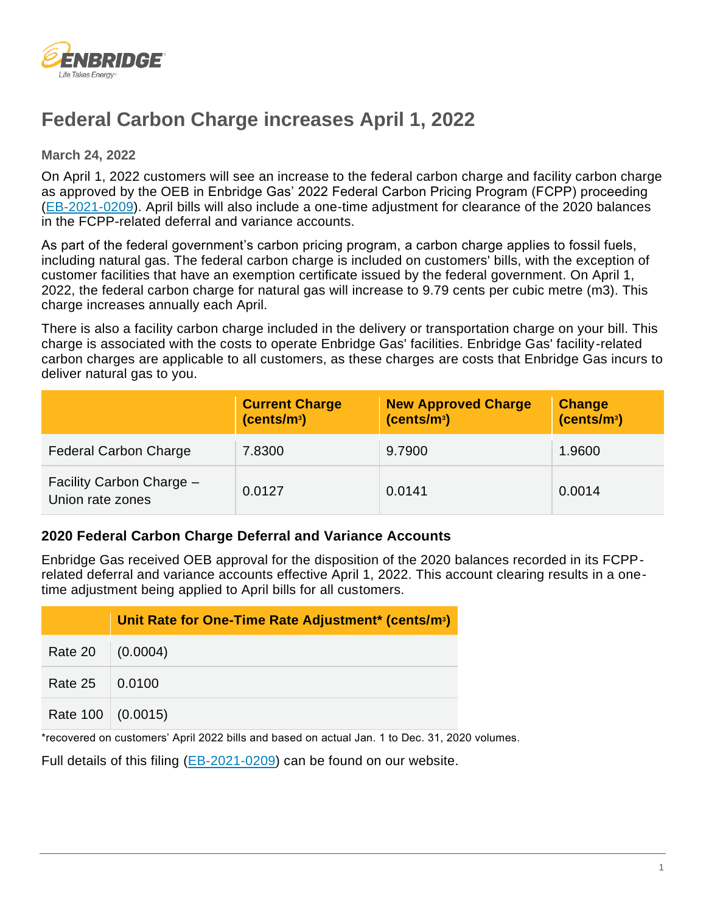

## **Federal Carbon Charge increases April 1, 2022**

**March 24, 2022**

On April 1, 2022 customers will see an increase to the federal carbon charge and facility carbon charge as approved by the OEB in Enbridge Gas' 2022 Federal Carbon Pricing Program (FCPP) proceeding [\(EB-2021-0209\)](https://www.enbridgegas.com/about-enbridge-gas/regulatory). April bills will also include a one-time adjustment for clearance of the 2020 balances in the FCPP-related deferral and variance accounts.

As part of the federal government's carbon pricing program, a carbon charge applies to fossil fuels, including natural gas. The federal carbon charge is included on customers' bills, with the exception of customer facilities that have an exemption certificate issued by the federal government. On April 1, 2022, the federal carbon charge for natural gas will increase to 9.79 cents per cubic metre (m3). This charge increases annually each April.

There is also a facility carbon charge included in the delivery or transportation charge on your bill. This charge is associated with the costs to operate Enbridge Gas' facilities. Enbridge Gas' facility-related carbon charges are applicable to all customers, as these charges are costs that Enbridge Gas incurs to deliver natural gas to you.

|                                              | <b>Current Charge</b><br>(cents/m <sup>3</sup> ) | <b>New Approved Charge</b><br>(cents/m <sup>3</sup> ) | Change<br>(cents/m <sup>3</sup> ) |
|----------------------------------------------|--------------------------------------------------|-------------------------------------------------------|-----------------------------------|
| <b>Federal Carbon Charge</b>                 | 7.8300                                           | 9.7900                                                | 1.9600                            |
| Facility Carbon Charge -<br>Union rate zones | 0.0127                                           | 0.0141                                                | 0.0014                            |

## **2020 Federal Carbon Charge Deferral and Variance Accounts**

Enbridge Gas received OEB approval for the disposition of the 2020 balances recorded in its FCPPrelated deferral and variance accounts effective April 1, 2022. This account clearing results in a onetime adjustment being applied to April bills for all customers.

|                          | Unit Rate for One-Time Rate Adjustment* (cents/m <sup>3</sup> ) |
|--------------------------|-----------------------------------------------------------------|
| Rate 20 $\vert$          | (0.0004)                                                        |
| Rate $25$                | 0.0100                                                          |
| Rate $100 \mid (0.0015)$ |                                                                 |

\*recovered on customers' April 2022 bills and based on actual Jan. 1 to Dec. 31, 2020 volumes.

Full details of this filing [\(EB-2021-0209\)](https://www.enbridgegas.com/about-enbridge-gas/regulatory) can be found on our website.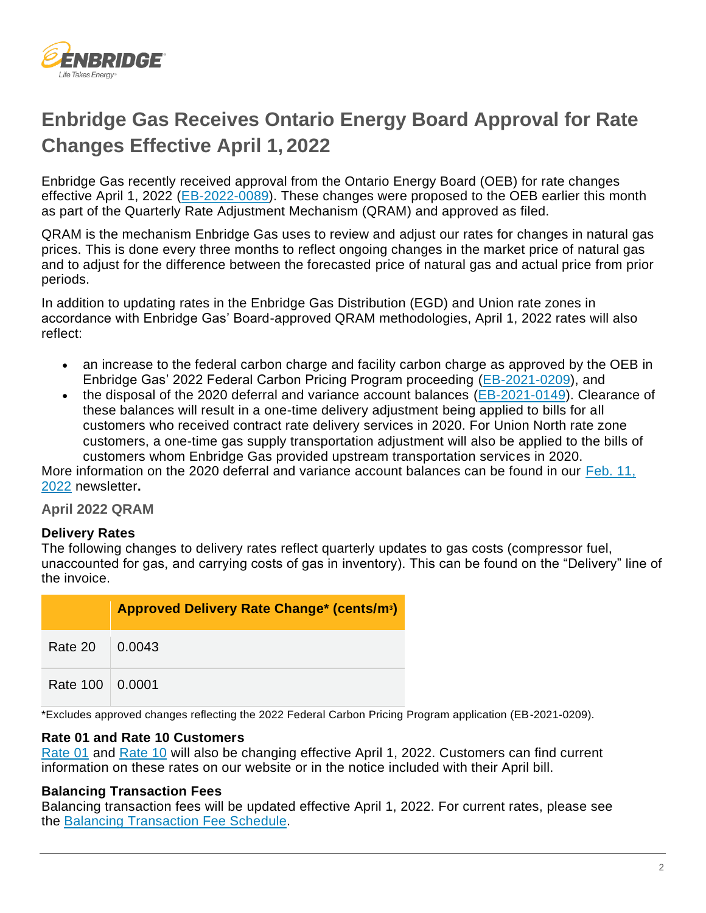

# **Enbridge Gas Receives Ontario Energy Board Approval for Rate Changes Effective April 1, 2022**

Enbridge Gas recently received approval from the Ontario Energy Board (OEB) for rate changes effective April 1, 2022 [\(EB-2022-0089\)](https://www.enbridgegas.com/about-enbridge-gas/regulatory). These changes were proposed to the OEB earlier this month as part of the Quarterly Rate Adjustment Mechanism (QRAM) and approved as filed.

QRAM is the mechanism Enbridge Gas uses to review and adjust our rates for changes in natural gas prices. This is done every three months to reflect ongoing changes in the market price of natural gas and to adjust for the difference between the forecasted price of natural gas and actual price from prior periods.

In addition to updating rates in the Enbridge Gas Distribution (EGD) and Union rate zones in accordance with Enbridge Gas' Board-approved QRAM methodologies, April 1, 2022 rates will also reflect:

- an increase to the federal carbon charge and facility carbon charge as approved by the OEB in Enbridge Gas' 2022 Federal Carbon Pricing Program proceeding [\(EB-2021-0209\)](https://www.enbridgegas.com/about-enbridge-gas/regulatory), and
- the disposal of the 2020 deferral and variance account balances [\(EB-2021-0149\)](https://www.enbridgegas.com/about-enbridge-gas/regulatory). Clearance of these balances will result in a one-time delivery adjustment being applied to bills for all customers who received contract rate delivery services in 2020. For Union North rate zone customers, a one-time gas supply transportation adjustment will also be applied to the bills of customers whom Enbridge Gas provided upstream transportation services in 2020.

More information on the 2020 deferral and variance account balances can be found in our [Feb. 11,](https://www.enbridgegas.com/business-industrial/newsletters/large-volume-customers)  [2022](https://www.enbridgegas.com/business-industrial/newsletters/large-volume-customers) newsletter**.**

**April 2022 QRAM**

## **Delivery Rates**

The following changes to delivery rates reflect quarterly updates to gas costs (compressor fuel, unaccounted for gas, and carrying costs of gas in inventory). This can be found on the "Delivery" line of the invoice.

|                   | <b>Approved Delivery Rate Change* (cents/m<sup>3</sup>)</b> |
|-------------------|-------------------------------------------------------------|
| Rate 20   0.0043  |                                                             |
| Rate 100   0.0001 |                                                             |

\*Excludes approved changes reflecting the 2022 Federal Carbon Pricing Program application (EB-2021-0209).

#### **Rate 01 and Rate 10 Customers**

[Rate 01](https://www.enbridgegas.com/residential/my-account/rates) and [Rate 10](https://www.enbridgegas.com/business-industrial/business/rates) will also be changing effective April 1, 2022. Customers can find current information on these rates on our website or in the notice included with their April bill.

#### **Balancing Transaction Fees**

Balancing transaction fees will be updated effective April 1, 2022. For current rates, please see the [Balancing Transaction Fee Schedule.](https://www.enbridgegas.com/-/media/Extranet-Pages/Business-and-industrial/Commercial-and-Industrial/Large-Volume-Rates-and-Services/Balancing-services/FeeSchedule.ashx?rev=cdd5a7b8f17b48e6a4e9b11685670084&hash=9E501A39377619CA651AB795B0A18F8E)